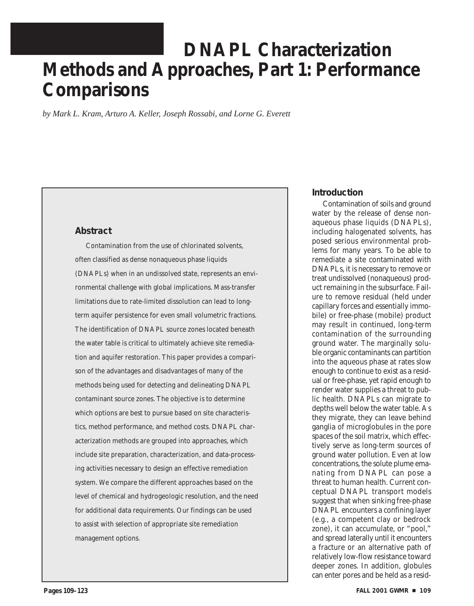# **DNAPL Characterization Methods and Approaches, Part 1: Performance Comparisons**

*by Mark L. Kram, Arturo A. Keller, Joseph Rossabi, and Lorne G. Everett* 

# **Abstract**

Contamination from the use of chlorinated solvents, often classified as dense nonaqueous phase liquids (DNAPLs) when in an undissolved state, represents an environmental challenge with global implications. Mass-transfer limitations due to rate-limited dissolution can lead to longterm aquifer persistence for even small volumetric fractions. The identification of DNAPL source zones located beneath the water table is critical to ultimately achieve site remediation and aquifer restoration. This paper provides a comparison of the advantages and disadvantages of many of the methods being used for detecting and delineating DNAPL contaminant source zones. The objective is to determine which options are best to pursue based on site characteristics, method performance, and method costs. DNAPL characterization methods are grouped into approaches, which include site preparation, characterization, and data-processing activities necessary to design an effective remediation system. We compare the different approaches based on the level of chemical and hydrogeologic resolution, and the need for additional data requirements. Our findings can be used to assist with selection of appropriate site remediation management options.

# **Introduction**

Contamination of soils and ground water by the release of dense nonaqueous phase liquids (DNAPLs), including halogenated solvents, has posed serious environmental problems for many years. To be able to remediate a site contaminated with DNAPLs, it is necessary to remove or treat undissolved (nonaqueous) product remaining in the subsurface. Failure to remove residual (held under capillary forces and essentially immobile) or free-phase (mobile) product may result in continued, long-term contamination of the surrounding ground water. The marginally soluble organic contaminants can partition into the aqueous phase at rates slow enough to continue to exist as a residual or free-phase, yet rapid enough to render water supplies a threat to public health. DNAPLs can migrate to depths well below the water table. As they migrate, they can leave behind ganglia of microglobules in the pore spaces of the soil matrix, which effectively serve as long-term sources of ground water pollution. Even at low concentrations, the solute plume emanating from DNAPL can pose a threat to human health. Current conceptual DNAPL transport models suggest that when sinking free-phase DNAPL encounters a confining layer (e.g., a competent clay or bedrock zone), it can accumulate, or "pool," and spread laterally until it encounters a fracture or an alternative path of relatively low-flow resistance toward deeper zones. In addition, globules can enter pores and be held as a resid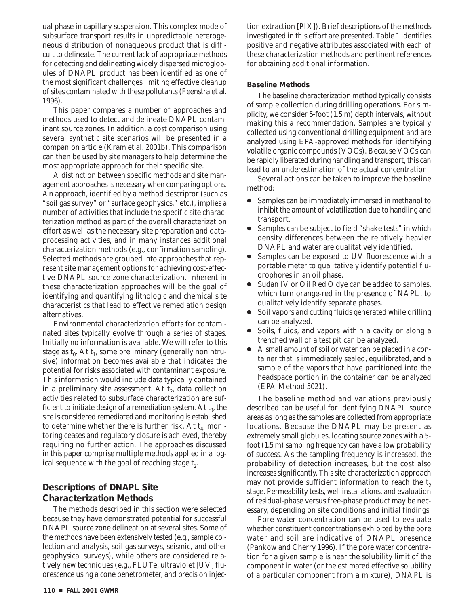ual phase in capillary suspension. This complex mode of subsurface transport results in unpredictable heterogeneous distribution of nonaqueous product that is difficult to delineate. The current lack of appropriate methods for detecting and delineating widely dispersed microglobules of DNAPL product has been identified as one of the most significant challenges limiting effective cleanup of sites contaminated with these pollutants (Feenstra et al. 1996).

This paper compares a number of approaches and methods used to detect and delineate DNAPL contaminant source zones. In addition, a cost comparison using several synthetic site scenarios will be presented in a companion article (Kram et al. 2001b). This comparison can then be used by site managers to help determine the most appropriate approach for their specific site.

A distinction between specific methods and site management approaches is necessary when comparing options. An approach, identified by a method descriptor (such as "soil gas survey" or "surface geophysics," etc.), implies a number of activities that include the specific site characterization method as part of the overall characterization effort as well as the necessary site preparation and dataprocessing activities, and in many instances additional characterization methods (e.g., confirmation sampling). Selected methods are grouped into approaches that represent site management options for achieving cost-effective DNAPL source zone characterization. Inherent in these characterization approaches will be the goal of identifying and quantifying lithologic and chemical site characteristics that lead to effective remediation design alternatives.

Environmental characterization efforts for contaminated sites typically evolve through a series of stages. Initially no information is available. We will refer to this stage as  $t_0$ . At  $t_1$ , some preliminary (generally nonintrusive) information becomes available that indicates the potential for risks associated with contaminant exposure. This information would include data typically contained in a preliminary site assessment. At  $t<sub>2</sub>$ , data collection activities related to subsurface characterization are sufficient to initiate design of a remediation system. At  $t<sub>3</sub>$ , the site is considered remediated and monitoring is established to determine whether there is further risk. At  $t_4$ , monitoring ceases and regulatory closure is achieved, thereby requiring no further action. The approaches discussed in this paper comprise multiple methods applied in a logical sequence with the goal of reaching stage  $t<sub>2</sub>$ .

# **Descriptions of DNAPL Site Characterization Methods**

The methods described in this section were selected because they have demonstrated potential for successful DNAPL source zone delineation at several sites. Some of the methods have been extensively tested (e.g., sample collection and analysis, soil gas surveys, seismic, and other geophysical surveys), while others are considered relatively new techniques (e.g., FLUTe, ultraviolet [UV] fluorescence using a cone penetrometer, and precision injection extraction [PIX]). Brief descriptions of the methods investigated in this effort are presented. Table 1 identifies positive and negative attributes associated with each of these characterization methods and pertinent references for obtaining additional information.

#### **Baseline Methods**

The baseline characterization method typically consists of sample collection during drilling operations. For simplicity, we consider 5-foot (1.5 m) depth intervals, without making this a recommendation. Samples are typically collected using conventional drilling equipment and are analyzed using EPA-approved methods for identifying volatile organic compounds (VOCs). Because VOCs can be rapidly liberated during handling and transport, this can lead to an underestimation of the actual concentration.

Several actions can be taken to improve the baseline method:

- Samples can be immediately immersed in methanol to inhibit the amount of volatilization due to handling and transport.
- Samples can be subject to field "shake tests" in which density differences between the relatively heavier DNAPL and water are qualitatively identified.
- Samples can be exposed to UV fluorescence with a portable meter to qualitatively identify potential fluorophores in an oil phase.
- Sudan IV or Oil Red O dye can be added to samples, which turn orange-red in the presence of NAPL, to qualitatively identify separate phases.
- Soil vapors and cutting fluids generated while drilling can be analyzed.
- Soils, fluids, and vapors within a cavity or along a trenched wall of a test pit can be analyzed.
- ● A small amount of soil or water can be placed in a container that is immediately sealed, equilibrated, and a sample of the vapors that have partitioned into the headspace portion in the container can be analyzed (EPA Method 5021).

The baseline method and variations previously described can be useful for identifying DNAPL source areas as long as the samples are collected from appropriate locations. Because the DNAPL may be present as extremely small globules, locating source zones with a 5 foot (1.5 m) sampling frequency can have a low probability of success. As the sampling frequency is increased, the probability of detection increases, but the cost also increases significantly. This site characterization approach may not provide sufficient information to reach the  $t<sub>2</sub>$ stage. Permeability tests, well installations, and evaluation of residual-phase versus free-phase product may be necessary, depending on site conditions and initial findings.

Pore water concentration can be used to evaluate whether constituent concentrations exhibited by the pore water and soil are indicative of DNAPL presence (Pankow and Cherry 1996). If the pore water concentration for a given sample is near the solubility limit of the component in water (or the estimated effective solubility of a particular component from a mixture), DNAPL is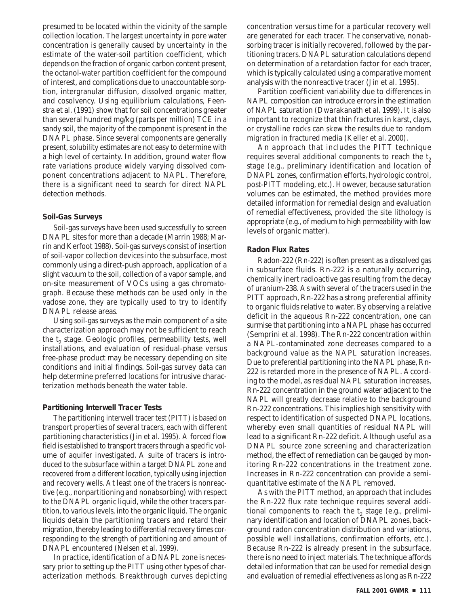presumed to be located within the vicinity of the sample collection location. The largest uncertainty in pore water concentration is generally caused by uncertainty in the estimate of the water-soil partition coefficient, which depends on the fraction of organic carbon content present, the octanol-water partition coefficient for the compound of interest, and complications due to unaccountable sorption, intergranular diffusion, dissolved organic matter, and cosolvency. Using equilibrium calculations, Feenstra et al. (1991) show that for soil concentrations greater than several hundred mg/kg (parts per million) TCE in a sandy soil, the majority of the component is present in the DNAPL phase. Since several components are generally present, solubility estimates are not easy to determine with a high level of certainty. In addition, ground water flow rate variations produce widely varying dissolved component concentrations adjacent to NAPL. Therefore, there is a significant need to search for direct NAPL detection methods.

#### **Soil-Gas Surveys**

Soil-gas surveys have been used successfully to screen DNAPL sites for more than a decade (Marrin 1988; Marrin and Kerfoot 1988). Soil-gas surveys consist of insertion of soil-vapor collection devices into the subsurface, most commonly using a direct-push approach, application of a slight vacuum to the soil, collection of a vapor sample, and on-site measurement of VOCs using a gas chromatograph. Because these methods can be used only in the vadose zone, they are typically used to try to identify DNAPL release areas.

Using soil-gas surveys as the main component of a site characterization approach may not be sufficient to reach the  $t_2$  stage. Geologic profiles, permeability tests, well installations, and evaluation of residual-phase versus free-phase product may be necessary depending on site conditions and initial findings. Soil-gas survey data can help determine preferred locations for intrusive characterization methods beneath the water table.

#### **Partitioning Interwell Tracer Tests**

The partitioning interwell tracer test (PITT) is based on transport properties of several tracers, each with different partitioning characteristics (Jin et al. 1995). A forced flow field is established to transport tracers through a specific volume of aquifer investigated. A suite of tracers is introduced to the subsurface within a target DNAPL zone and recovered from a different location, typically using injection and recovery wells. At least one of the tracers is nonreactive (e.g., nonpartitioning and nonabsorbing) with respect to the DNAPL organic liquid, while the other tracers partition, to various levels, into the organic liquid. The organic liquids detain the partitioning tracers and retard their migration, thereby leading to differential recovery times corresponding to the strength of partitioning and amount of DNAPL encountered (Nelsen et al. 1999).

In practice, identification of a DNAPL zone is necessary prior to setting up the PITT using other types of characterization methods. Breakthrough curves depicting concentration versus time for a particular recovery well are generated for each tracer. The conservative, nonabsorbing tracer is initially recovered, followed by the partitioning tracers. DNAPL saturation calculations depend on determination of a retardation factor for each tracer, which is typically calculated using a comparative moment analysis with the nonreactive tracer (Jin et al. 1995).

Partition coefficient variability due to differences in NAPL composition can introduce errors in the estimation of NAPL saturation (Dwarakanath et al. 1999). It is also important to recognize that thin fractures in karst, clays, or crystalline rocks can skew the results due to random migration in fractured media (Keller et al. 2000).

An approach that includes the PITT technique requires several additional components to reach the  $t<sub>2</sub>$ stage (e.g., preliminary identification and location of DNAPL zones, confirmation efforts, hydrologic control, post-PITT modeling, etc.). However, because saturation volumes can be estimated, the method provides more detailed information for remedial design and evaluation of remedial effectiveness, provided the site lithology is appropriate (e.g., of medium to high permeability with low levels of organic matter).

#### **Radon Flux Rates**

Radon-222 (Rn-222) is often present as a dissolved gas in subsurface fluids. Rn-222 is a naturally occurring, chemically inert radioactive gas resulting from the decay of uranium-238. As with several of the tracers used in the PITT approach, Rn-222 has a strong preferential affinity to organic fluids relative to water. By observing a relative deficit in the aqueous Rn-222 concentration, one can surmise that partitioning into a NAPL phase has occurred (Semprini et al. 1998). The Rn-222 concentration within a NAPL-contaminated zone decreases compared to a background value as the NAPL saturation increases. Due to preferential partitioning into the NAPL phase, Rn-222 is retarded more in the presence of NAPL. According to the model, as residual NAPL saturation increases, Rn-222 concentration in the ground water adjacent to the NAPL will greatly decrease relative to the background Rn-222 concentrations. This implies high sensitivity with respect to identification of suspected DNAPL locations, whereby even small quantities of residual NAPL will lead to a significant Rn-222 deficit. Although useful as a DNAPL source zone screening and characterization method, the effect of remediation can be gauged by monitoring Rn-222 concentrations in the treatment zone. Increases in Rn-222 concentration can provide a semiquantitative estimate of the NAPL removed.

As with the PITT method, an approach that includes the Rn-222 flux rate technique requires several additional components to reach the  $t_2$  stage (e.g., preliminary identification and location of DNAPL zones, background radon concentration distribution and variations, possible well installations, confirmation efforts, etc.). Because Rn-222 is already present in the subsurface, there is no need to inject materials. The technique affords detailed information that can be used for remedial design and evaluation of remedial effectiveness as long as Rn-222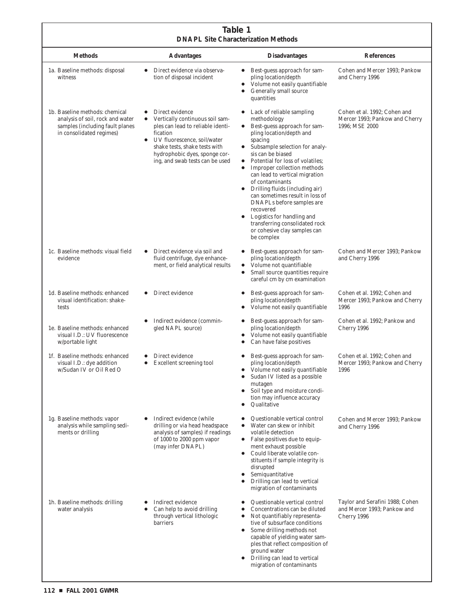#### **Table 1 DNAPL Site Characterization Methods**

| DIVAPL SHE CHaracterization Methods                                                                                               |                                                                                                                                                                                                                                                      |                                                                                                                                                                                                                                                                                                                                                                                                                                                                                                                                                        |                                                                                  |
|-----------------------------------------------------------------------------------------------------------------------------------|------------------------------------------------------------------------------------------------------------------------------------------------------------------------------------------------------------------------------------------------------|--------------------------------------------------------------------------------------------------------------------------------------------------------------------------------------------------------------------------------------------------------------------------------------------------------------------------------------------------------------------------------------------------------------------------------------------------------------------------------------------------------------------------------------------------------|----------------------------------------------------------------------------------|
| <b>Methods</b>                                                                                                                    | <b>Advantages</b>                                                                                                                                                                                                                                    | <b>Disadvantages</b>                                                                                                                                                                                                                                                                                                                                                                                                                                                                                                                                   | <b>References</b>                                                                |
| 1a. Baseline methods: disposal<br>witness                                                                                         | Direct evidence via observa-<br>tion of disposal incident                                                                                                                                                                                            | Best-guess approach for sam-<br>pling location/depth<br>Volume not easily quantifiable<br>Generally small source<br>quantities                                                                                                                                                                                                                                                                                                                                                                                                                         | Cohen and Mercer 1993; Pankow<br>and Cherry 1996                                 |
| 1b. Baseline methods: chemical<br>analysis of soil, rock and water<br>samples (including fault planes<br>in consolidated regimes) | Direct evidence<br>Vertically continuous soil sam-<br>ples can lead to reliable identi-<br>fication<br>UV fluorescence, soil/water<br>$\bullet$<br>shake tests, shake tests with<br>hydrophobic dyes, sponge cor-<br>ing, and swab tests can be used | Lack of reliable sampling<br>methodology<br>Best-guess approach for sam-<br>$\bullet$<br>pling location/depth and<br>spacing<br>Subsample selection for analy-<br>sis can be biased<br>Potential for loss of volatiles;<br>Improper collection methods<br>$\bullet$<br>can lead to vertical migration<br>of contaminants<br>Drilling fluids (including air)<br>can sometimes result in loss of<br>DNAPLs before samples are<br>recovered<br>Logistics for handling and<br>transferring consolidated rock<br>or cohesive clay samples can<br>be complex | Cohen et al. 1992; Cohen and<br>Mercer 1993; Pankow and Cherry<br>1996; MSE 2000 |
| 1c. Baseline methods: visual field<br>evidence                                                                                    | Direct evidence via soil and<br>$\bullet$<br>fluid centrifuge, dye enhance-<br>ment, or field analytical results                                                                                                                                     | Best-guess approach for sam-<br>pling location/depth<br>Volume not quantifiable<br>$\bullet$<br>Small source quantities require<br>$\bullet$<br>careful cm by cm examination                                                                                                                                                                                                                                                                                                                                                                           | Cohen and Mercer 1993; Pankow<br>and Cherry 1996                                 |
| 1d. Baseline methods: enhanced<br>visual identification: shake-<br>tests                                                          | Direct evidence                                                                                                                                                                                                                                      | Best-guess approach for sam-<br>pling location/depth<br>Volume not easily quantifiable                                                                                                                                                                                                                                                                                                                                                                                                                                                                 | Cohen et al. 1992; Cohen and<br>Mercer 1993; Pankow and Cherry<br>1996           |
| 1e. Baseline methods: enhanced<br>visual I.D.: UV fluorescence<br>w/portable light                                                | Indirect evidence (commin-<br>gled NAPL source)                                                                                                                                                                                                      | Best-guess approach for sam-<br>pling location/depth<br>Volume not easily quantifiable<br>Can have false positives                                                                                                                                                                                                                                                                                                                                                                                                                                     | Cohen et al. 1992; Pankow and<br>Cherry 1996                                     |
| 1f. Baseline methods: enhanced<br>visual I.D.: dye addition<br>w/Sudan IV or Oil Red O                                            | Direct evidence<br>Excellent screening tool<br>$\bullet$                                                                                                                                                                                             | Best-guess approach for sam-<br>pling location/depth<br>Volume not easily quantifiable<br>Sudan IV listed as a possible<br>mutagen<br>Soil type and moisture condi-<br>tion may influence accuracy<br>Qualitative                                                                                                                                                                                                                                                                                                                                      | Cohen et al. 1992; Cohen and<br>Mercer 1993; Pankow and Cherry<br>1996           |
| 1g. Baseline methods: vapor<br>analysis while sampling sedi-<br>ments or drilling                                                 | Indirect evidence (while<br>$\bullet$<br>drilling or via head headspace<br>analysis of samples) if readings<br>of 1000 to 2000 ppm vapor<br>(may infer DNAPL)                                                                                        | Questionable vertical control<br>Water can skew or inhibit<br>$\bullet$<br>volatile detection<br>False positives due to equip-<br>ment exhaust possible<br>Could liberate volatile con-<br>stituents if sample integrity is<br>disrupted<br>Semiquantitative<br>٠<br>Drilling can lead to vertical<br>migration of contaminants                                                                                                                                                                                                                        | Cohen and Mercer 1993; Pankow<br>and Cherry 1996                                 |
| 1h. Baseline methods: drilling<br>water analysis                                                                                  | Indirect evidence<br>Can help to avoid drilling<br>through vertical lithologic<br><b>barriers</b>                                                                                                                                                    | Questionable vertical control<br>Concentrations can be diluted<br>Not quantifiably representa-<br>$\bullet$<br>tive of subsurface conditions<br>Some drilling methods not<br>٠<br>capable of yielding water sam-<br>ples that reflect composition of<br>ground water<br>Drilling can lead to vertical<br>migration of contaminants                                                                                                                                                                                                                     | Taylor and Serafini 1988; Cohen<br>and Mercer 1993; Pankow and<br>Cherry 1996    |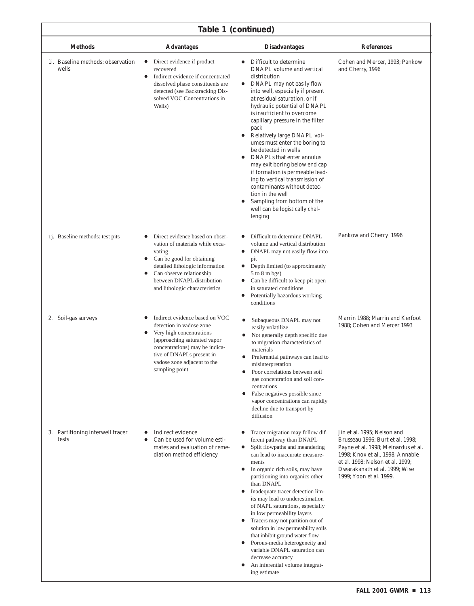| Table 1 (continued)                       |                                                                                                                                                                                                                                                                    |                                                                                                                                                                                                                                                                                                                                                                                                                                                                                                                                                                                                                                                                                               |                                                                                                                                                                                                                                            |
|-------------------------------------------|--------------------------------------------------------------------------------------------------------------------------------------------------------------------------------------------------------------------------------------------------------------------|-----------------------------------------------------------------------------------------------------------------------------------------------------------------------------------------------------------------------------------------------------------------------------------------------------------------------------------------------------------------------------------------------------------------------------------------------------------------------------------------------------------------------------------------------------------------------------------------------------------------------------------------------------------------------------------------------|--------------------------------------------------------------------------------------------------------------------------------------------------------------------------------------------------------------------------------------------|
| <b>Methods</b>                            | <b>Advantages</b>                                                                                                                                                                                                                                                  | <b>Disadvantages</b>                                                                                                                                                                                                                                                                                                                                                                                                                                                                                                                                                                                                                                                                          | <b>References</b>                                                                                                                                                                                                                          |
| 1. Baseline methods: observation<br>wells | Direct evidence if product<br>$\bullet$<br>recovered<br>Indirect evidence if concentrated<br>$\bullet$<br>dissolved phase constituents are<br>detected (see Backtracking Dis-<br>solved VOC Concentrations in<br>Wells)                                            | Difficult to determine<br>DNAPL volume and vertical<br>distribution<br>DNAPL may not easily flow<br>$\bullet$<br>into well, especially if present<br>at residual saturation, or if<br>hydraulic potential of DNAPL<br>is insufficient to overcome<br>capillary pressure in the filter<br>pack<br>Relatively large DNAPL vol-<br>umes must enter the boring to<br>be detected in wells<br>DNAPLs that enter annulus<br>may exit boring below end cap<br>if formation is permeable lead-<br>ing to vertical transmission of<br>contaminants without detec-<br>tion in the well<br>Sampling from bottom of the<br>well can be logistically chal-<br>lenging                                      | Cohen and Mercer, 1993; Pankow<br>and Cherry, 1996                                                                                                                                                                                         |
| 1. Baseline methods: test pits            | Direct evidence based on obser-<br>vation of materials while exca-<br>vating<br>Can be good for obtaining<br>$\bullet$<br>detailed lithologic information<br>Can observe relationship<br>$\bullet$<br>between DNAPL distribution<br>and lithologic characteristics | Difficult to determine DNAPL<br>volume and vertical distribution<br>DNAPL may not easily flow into<br>$\bullet$<br>pit<br>Depth limited (to approximately<br>$5$ to $8$ m bgs)<br>Can be difficult to keep pit open<br>$\bullet$<br>in saturated conditions<br>Potentially hazardous working<br>conditions                                                                                                                                                                                                                                                                                                                                                                                    | Pankow and Cherry 1996                                                                                                                                                                                                                     |
| 2. Soil-gas surveys                       | Indirect evidence based on VOC<br>٠<br>detection in vadose zone<br>Very high concentrations<br>$\bullet$<br>(approaching saturated vapor<br>concentrations) may be indica-<br>tive of DNAPLs present in<br>vadose zone adjacent to the<br>sampling point           | Subaqueous DNAPL may not<br>٠<br>easily volatilize<br>Not generally depth specific due<br>to migration characteristics of<br>materials<br>Preferential pathways can lead to<br>misinterpretation<br>Poor correlations between soil<br>gas concentration and soil con-<br>centrations<br>False negatives possible since<br>$\bullet$<br>vapor concentrations can rapidly<br>decline due to transport by<br>diffusion                                                                                                                                                                                                                                                                           | Marrin 1988; Marrin and Kerfoot<br>1988; Cohen and Mercer 1993                                                                                                                                                                             |
| 3. Partitioning interwell tracer<br>tests | Indirect evidence<br>Can be used for volume esti-<br>mates and evaluation of reme-<br>diation method efficiency                                                                                                                                                    | Tracer migration may follow dif-<br>٠<br>ferent pathway than DNAPL<br>Split flowpaths and meandering<br>$\bullet$<br>can lead to inaccurate measure-<br>ments<br>In organic rich soils, may have<br>٠<br>partitioning into organics other<br>than DNAPL<br>Inadequate tracer detection lim-<br>its may lead to underestimation<br>of NAPL saturations, especially<br>in low permeability layers<br>Tracers may not partition out of<br>$\bullet$<br>solution in low permeability soils<br>that inhibit ground water flow<br>Porous-media heterogeneity and<br>$\bullet$<br>variable DNAPL saturation can<br>decrease accuracy<br>An inferential volume integrat-<br>$\bullet$<br>ing estimate | Jin et al. 1995; Nelson and<br>Brusseau 1996; Burt et al. 1998;<br>Payne et al. 1998; Meinardus et al.<br>1998; Knox et al., 1998; Annable<br>et al. 1998; Nelson et al. 1999;<br>Dwarakanath et al. 1999; Wise<br>1999; Yoon et al. 1999. |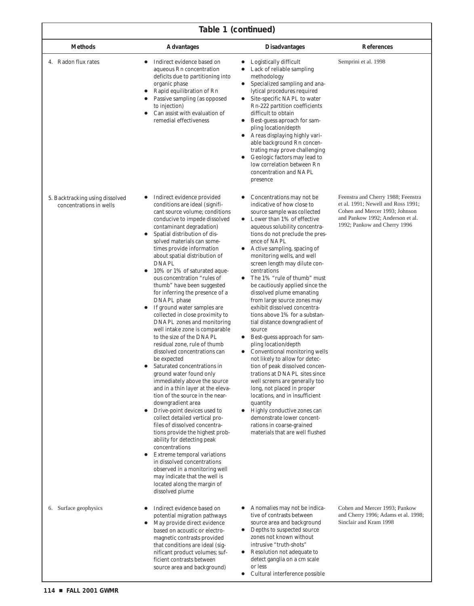# **Table 1 (continued)**

٦

| <b>Methods</b>                                             | <b>Advantages</b>                                                                                                                                                                                                                                                                                                                                                                                                                                                                                                                                                                                                                                                                                                                                                                                                                                                                                                                                                                                                                                                                                                                                                                                                                                                                           | <b>Disadvantages</b>                                                                                                                                                                                                                                                                                                                                                                                                                                                                                                                                                                                                                                                                                                                                                                                                                                                                                                                                                                                                                                   | <b>References</b>                                                                                                                                                              |
|------------------------------------------------------------|---------------------------------------------------------------------------------------------------------------------------------------------------------------------------------------------------------------------------------------------------------------------------------------------------------------------------------------------------------------------------------------------------------------------------------------------------------------------------------------------------------------------------------------------------------------------------------------------------------------------------------------------------------------------------------------------------------------------------------------------------------------------------------------------------------------------------------------------------------------------------------------------------------------------------------------------------------------------------------------------------------------------------------------------------------------------------------------------------------------------------------------------------------------------------------------------------------------------------------------------------------------------------------------------|--------------------------------------------------------------------------------------------------------------------------------------------------------------------------------------------------------------------------------------------------------------------------------------------------------------------------------------------------------------------------------------------------------------------------------------------------------------------------------------------------------------------------------------------------------------------------------------------------------------------------------------------------------------------------------------------------------------------------------------------------------------------------------------------------------------------------------------------------------------------------------------------------------------------------------------------------------------------------------------------------------------------------------------------------------|--------------------------------------------------------------------------------------------------------------------------------------------------------------------------------|
| 4. Radon flux rates                                        | Indirect evidence based on<br>٠<br>aqueous Rn concentration<br>deficits due to partitioning into<br>organic phase<br>Rapid equilibration of Rn<br>Passive sampling (as opposed<br>to injection)<br>Can assist with evaluation of<br>remedial effectiveness                                                                                                                                                                                                                                                                                                                                                                                                                                                                                                                                                                                                                                                                                                                                                                                                                                                                                                                                                                                                                                  | Logistically difficult<br>$\bullet$<br>Lack of reliable sampling<br>methodology<br>Specialized sampling and ana-<br>$\bullet$<br>lytical procedures required<br>Site-specific NAPL to water<br>$\bullet$<br>Rn-222 partition coefficients<br>difficult to obtain<br>Best-guess aproach for sam-<br>٠<br>pling location/depth<br>Areas displaying highly vari-<br>$\bullet$<br>able background Rn concen-<br>trating may prove challenging<br>Geologic factors may lead to<br>$\bullet$<br>low correlation between Rn<br>concentration and NAPL<br>presence                                                                                                                                                                                                                                                                                                                                                                                                                                                                                             | Semprini et al. 1998                                                                                                                                                           |
| 5. Backtracking using dissolved<br>concentrations in wells | Indirect evidence provided<br>conditions are ideal (signifi-<br>cant source volume; conditions<br>conducive to impede dissolved<br>contaminant degradation)<br>Spatial distribution of dis-<br>solved materials can some-<br>times provide information<br>about spatial distribution of<br><b>DNAPL</b><br>10% or 1% of saturated aque-<br>ous concentration "rules of<br>thumb" have been suggested<br>for inferring the presence of a<br>DNAPL phase<br>If ground water samples are<br>collected in close proximity to<br>DNAPL zones and monitoring<br>well intake zone is comparable<br>to the size of the DNAPL<br>residual zone, rule of thumb<br>dissolved concentrations can<br>be expected<br>Saturated concentrations in<br>ground water found only<br>immediately above the source<br>and in a thin layer at the eleva-<br>tion of the source in the near-<br>downgradient area<br>Drive-point devices used to<br>$\bullet$<br>collect detailed vertical pro-<br>files of dissolved concentra-<br>tions provide the highest prob-<br>ability for detecting peak<br>concentrations<br>Extreme temporal variations<br>$\bullet$<br>in dissolved concentrations<br>observed in a monitoring well<br>may indicate that the well is<br>located along the margin of<br>dissolved plume | Concentrations may not be.<br>٠<br>indicative of how close to<br>source sample was collected<br>Lower than 1% of effective<br>$\bullet$<br>aqueous solubility concentra-<br>tions do not preclude the pres-<br>ence of NAPL<br>Active sampling, spacing of<br>٠<br>monitoring wells, and well<br>screen length may dilute con-<br>centrations<br>The 1% "rule of thumb" must<br>٠<br>be cautiously applied since the<br>dissolved plume emanating<br>from large source zones may<br>exhibit dissolved concentra-<br>tions above 1% for a substan-<br>tial distance downgradient of<br>source<br>• Best-guess approach for sam-<br>pling location/depth<br>• Conventional monitoring wells<br>not likely to allow for detec-<br>tion of peak dissolved concen-<br>trations at DNAPL sites since<br>well screens are generally too<br>long, not placed in proper<br>locations, and in insufficient<br>quantity<br>Highly conductive zones can<br>$\bullet$<br>demonstrate lower concent-<br>rations in coarse-grained<br>materials that are well flushed | Feenstra and Cherry 1988; Feenstra<br>et al. 1991; Newell and Ross 1991;<br>Cohen and Mercer 1993; Johnson<br>and Pankow 1992; Anderson et al.<br>1992; Pankow and Cherry 1996 |
| 6. Surface geophysics                                      | Indirect evidence based on<br>potential migration pathways<br>May provide direct evidence<br>based on acoustic or electro-<br>magnetic contrasts provided<br>that conditions are ideal (sig-<br>nificant product volumes; suf-<br>ficient contrasts between<br>source area and background)                                                                                                                                                                                                                                                                                                                                                                                                                                                                                                                                                                                                                                                                                                                                                                                                                                                                                                                                                                                                  | Anomalies may not be indica-<br>$\bullet$<br>tive of contrasts between<br>source area and background<br>Depths to suspected source<br>$\bullet$<br>zones not known without<br>intrusive "truth-shots"<br>Resolution not adequate to<br>$\bullet$<br>detect ganglia on a cm scale<br>or less<br>• Cultural interference possible                                                                                                                                                                                                                                                                                                                                                                                                                                                                                                                                                                                                                                                                                                                        | Cohen and Mercer 1993; Pankow<br>and Cherry 1996; Adams et al. 1998;<br>Sinclair and Kram 1998                                                                                 |

Г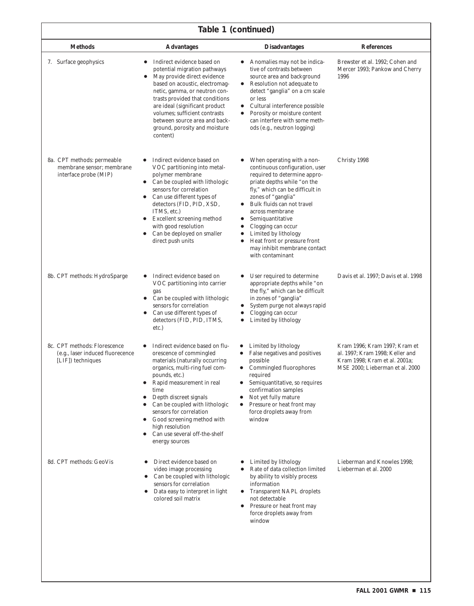| Table 1 (continued)                                                                    |                                                                                                                                                                                                                                                                                                                                                                                                                        |                                                                                                                                                                                                                                                                                                                                                                                                                                              |                                                                                                                                      |  |
|----------------------------------------------------------------------------------------|------------------------------------------------------------------------------------------------------------------------------------------------------------------------------------------------------------------------------------------------------------------------------------------------------------------------------------------------------------------------------------------------------------------------|----------------------------------------------------------------------------------------------------------------------------------------------------------------------------------------------------------------------------------------------------------------------------------------------------------------------------------------------------------------------------------------------------------------------------------------------|--------------------------------------------------------------------------------------------------------------------------------------|--|
| <b>Methods</b>                                                                         | <b>Advantages</b>                                                                                                                                                                                                                                                                                                                                                                                                      | <b>Disadvantages</b>                                                                                                                                                                                                                                                                                                                                                                                                                         | <b>References</b>                                                                                                                    |  |
| 7. Surface geophysics                                                                  | Indirect evidence based on<br>potential migration pathways<br>May provide direct evidence<br>$\bullet$<br>based on acoustic, electromag-<br>netic, gamma, or neutron con-<br>trasts provided that conditions<br>are ideal (significant product<br>volumes; sufficient contrasts<br>between source area and back-<br>ground, porosity and moisture<br>content)                                                          | Anomalies may not be indica-<br>tive of contrasts between<br>source area and background<br>• Resolution not adequate to<br>detect "ganglia" on a cm scale<br>or less<br>Cultural interference possible<br>$\bullet$<br>Porosity or moisture content<br>can interfere with some meth-<br>ods (e.g., neutron logging)                                                                                                                          | Brewster et al. 1992; Cohen and<br>Mercer 1993; Pankow and Cherry<br>1996                                                            |  |
| 8a. CPT methods: permeable<br>membrane sensor; membrane<br>interface probe (MIP)       | Indirect evidence based on<br>VOC partitioning into metal-<br>polymer membrane<br>Can be coupled with lithologic<br>$\bullet$<br>sensors for correlation<br>Can use different types of<br>$\bullet$<br>detectors (FID, PID, XSD,<br>ITMS, etc.)<br><b>Excellent screening method</b><br>with good resolution<br>Can be deployed on smaller<br>direct push units                                                        | When operating with a non-<br>continuous configuration, user<br>required to determine appro-<br>priate depths while "on the<br>fly," which can be difficult in<br>zones of "ganglia"<br>Bulk fluids can not travel<br>٠<br>across membrane<br>Semiquantitative<br>$\bullet$<br>Clogging can occur<br>$\bullet$<br>Limited by lithology<br>$\bullet$<br>Heat front or pressure front<br>٠<br>may inhibit membrane contact<br>with contaminant | Christy 1998                                                                                                                         |  |
| 8b. CPT methods: HydroSparge                                                           | Indirect evidence based on<br>VOC partitioning into carrier<br>gas<br>Can be coupled with lithologic<br>$\bullet$<br>sensors for correlation<br>Can use different types of<br>detectors (FID, PID, ITMS,<br>etc.)                                                                                                                                                                                                      | User required to determine<br>$\bullet$<br>appropriate depths while "on<br>the fly," which can be difficult<br>in zones of "ganglia"<br>System purge not always rapid<br>Clogging can occur<br>$\bullet$<br>Limited by lithology<br>$\bullet$                                                                                                                                                                                                | Davis et al. 1997; Davis et al. 1998                                                                                                 |  |
| 8c. CPT methods: Florescence<br>(e.g., laser induced fluorecence)<br>[LIF]) techniques | Indirect evidence based on flu-<br>orescence of commingled<br>materials (naturally occurring<br>organics, multi-ring fuel com-<br>pounds, etc.)<br>Rapid measurement in real<br>$\bullet$<br>time<br>Depth discreet signals<br>$\bullet$<br>Can be coupled with lithologic<br>sensors for correlation<br>Good screening method with<br>$\bullet$<br>high resolution<br>Can use several off-the-shelf<br>energy sources | Limited by lithology<br>False negatives and positives<br>possible<br>• Commingled fluorophores<br>required<br>Semiquantitative, so requires<br>confirmation samples<br>Not yet fully mature<br>$\bullet$<br>Pressure or heat front may<br>force droplets away from<br>window                                                                                                                                                                 | Kram 1996; Kram 1997; Kram et<br>al. 1997; Kram 1998; Keller and<br>Kram 1998; Kram et al. 2001a;<br>MSE 2000; Lieberman et al. 2000 |  |
| 8d. CPT methods: GeoVis                                                                | Direct evidence based on<br>٠<br>video image processing<br>Can be coupled with lithologic<br>$\bullet$<br>sensors for correlation<br>Data easy to interpret in light<br>colored soil matrix                                                                                                                                                                                                                            | Limited by lithology<br>Rate of data collection limited<br>$\bullet$<br>by ability to visibly process<br>information<br><b>Transparent NAPL droplets</b><br>$\bullet$<br>not detectable<br>Pressure or heat front may<br>$\bullet$<br>force droplets away from<br>window                                                                                                                                                                     | Lieberman and Knowles 1998;<br>Lieberman et al. 2000                                                                                 |  |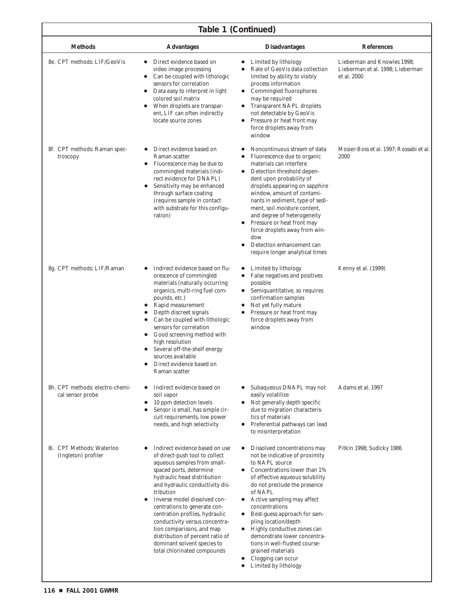| Table 1 (Continued)                                 |                                                                                                                                                                                                                                                                                                                                                                                                                                                                                           |                                                                                                                                                                                                                                                                                                                                                                                                                                                                                                                                                                      |                                                                                |
|-----------------------------------------------------|-------------------------------------------------------------------------------------------------------------------------------------------------------------------------------------------------------------------------------------------------------------------------------------------------------------------------------------------------------------------------------------------------------------------------------------------------------------------------------------------|----------------------------------------------------------------------------------------------------------------------------------------------------------------------------------------------------------------------------------------------------------------------------------------------------------------------------------------------------------------------------------------------------------------------------------------------------------------------------------------------------------------------------------------------------------------------|--------------------------------------------------------------------------------|
| <b>Methods</b>                                      | <b>Advantages</b>                                                                                                                                                                                                                                                                                                                                                                                                                                                                         | <b>Disadvantages</b>                                                                                                                                                                                                                                                                                                                                                                                                                                                                                                                                                 | <b>References</b>                                                              |
| 8e. CPT methods: LIF/GeoVis                         | Direct evidence based on<br>video image processing<br>Can be coupled with lithologic<br>sensors for correlation<br>Data easy to interpret in light<br>colored soil matrix<br>When droplets are transpar-<br>$\bullet$<br>ent, LIF can often indirectly<br>locate source zones                                                                                                                                                                                                             | Limited by lithology<br>$\bullet$<br>Rate of GeoVis data collection<br>٠<br>limited by ability to visibly<br>process information<br>• Commingled fluorophores<br>may be required<br><b>Transparent NAPL droplets</b><br>$\bullet$<br>not detectable by GeoVis<br>Pressure or heat front may<br>$\bullet$<br>force droplets away from<br>window                                                                                                                                                                                                                       | Lieberman and Knowles 1998;<br>Lieberman et al. 1998; Lieberman<br>et al. 2000 |
| 8f. CPT methods: Raman spec-<br>troscopy            | Direct evidence based on<br>Raman scatter<br>Fluorescence may be due to<br>$\bullet$<br>commingled materials (indi-<br>rect evidence for DNAPL)<br>Sensitivity may be enhanced<br>$\bullet$<br>through surface coating<br>(requires sample in contact<br>with substrate for this configu-<br>ration)                                                                                                                                                                                      | Noncontinuous stream of data<br>Fluorescence due to organic<br>$\bullet$<br>materials can interfere<br>Detection threshold depen-<br>$\bullet$<br>dent upon probability of<br>droplets appearing on sapphire<br>window, amount of contami-<br>nants in sediment, type of sedi-<br>ment, soil moisture content,<br>and degree of heterogeneity<br>Pressure or heat front may<br>$\bullet$<br>force droplets away from win-<br>dow<br>Detection enhancement can<br>require longer analytical times                                                                     | Mosier-Boss et al. 1997; Rossabi et al.<br>2000                                |
| 8g. CPT methods: LIF/Raman                          | Indirect evidence based on flu-<br>$\bullet$<br>orescence of commingled<br>materials (naturally occurring<br>organics, multi-ring fuel com-<br>pounds, etc.)<br>Rapid measurement<br>$\bullet$<br>Depth discreet signals<br>Can be coupled with lithologic<br>sensors for correlation<br>Good screening method with<br>$\bullet$<br>high resolution<br>Several off-the-shelf energy<br>sources available<br>Direct evidence based on<br>Raman scatter                                     | Limited by lithology<br>$\bullet$<br>False negatives and positives<br>possible<br>Semiquantitative, so requires<br>$\bullet$<br>confirmation samples<br>Not yet fully mature<br>$\bullet$<br>Pressure or heat front may<br>force droplets away from<br>window                                                                                                                                                                                                                                                                                                        | Kenny et al. (1999)                                                            |
| 8h. CPT methods: electro-chemi-<br>cal sensor probe | Indirect evidence based on<br>$\bullet$<br>soil vapor<br>10 ppm detection levels<br>$\bullet$<br>Sensor is small, has simple cir-<br>cuit requirements, low power<br>needs, and high selectivity                                                                                                                                                                                                                                                                                          | Subaqueous DNAPL may not<br>easily volatilize<br>Not generally depth specific<br>$\bullet$<br>due to migration characteris-<br>tics of materials<br>Preferential pathways can lead<br>$\bullet$<br>to misinterpretation                                                                                                                                                                                                                                                                                                                                              | Adams et al. 1997                                                              |
| 8i. CPT Methods: Waterloo<br>(Ingleton) profiler    | Indirect evidence based on use<br>of direct-push tool to collect<br>aqueous samples from small-<br>spaced ports, determine<br>hydraulic head distribution<br>and hydraulic conductivity dis-<br>tribution<br>Inverse model dissolved con-<br>$\bullet$<br>centrations to generate con-<br>centration profiles, hydraulic<br>conductivity versus concentra-<br>tion comparisons, and map<br>distribution of percent ratio of<br>dominant solvent species to<br>total chlorinated compounds | Dissolved concentrations may<br>$\bullet$<br>not be indicative of proximity<br>to NAPL source<br>Concentrations lower than 1%<br>$\bullet$<br>of effective aqueous solubility<br>do not preclude the presence<br>of NAPL<br>Active sampling may affect<br>$\bullet$<br>concentrations<br>Best-guess approach for sam-<br>$\bullet$<br>pling location/depth<br>Highly conductive zones can<br>$\bullet$<br>demonstrate lower concentra-<br>tions in well-flushed course-<br>grained materials<br>Clogging can occur<br>$\bullet$<br>Limited by lithology<br>$\bullet$ | Pitkin 1998; Sudicky 1986                                                      |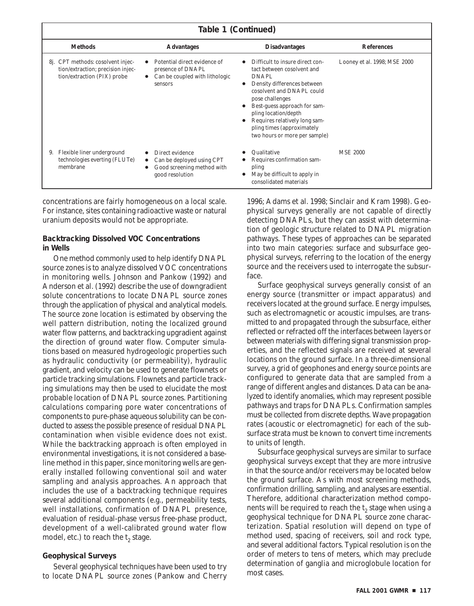| Table 1 (Continued) |                                                                                                       |                                                                                                            |                                                                                                                                                                                                                                                                                                                            |                              |
|---------------------|-------------------------------------------------------------------------------------------------------|------------------------------------------------------------------------------------------------------------|----------------------------------------------------------------------------------------------------------------------------------------------------------------------------------------------------------------------------------------------------------------------------------------------------------------------------|------------------------------|
|                     | <b>Methods</b>                                                                                        | <b>Advantages</b>                                                                                          | <b>Disadvantages</b>                                                                                                                                                                                                                                                                                                       | <b>References</b>            |
|                     | 8j. CPT methods: cosolvent injec-<br>tion/extraction; precision injec-<br>tion/extraction (PIX) probe | Potential direct evidence of<br>presence of DNAPL<br>Can be coupled with lithologic<br>sensors             | Difficult to insure direct con-<br>tact between cosolvent and<br>DNAPL<br>Density differences between<br>cosolvent and DNAPL could<br>pose challenges<br>Best-guess approach for sam-<br>$\bullet$<br>pling location/depth<br>Requires relatively long sam-<br>pling times (approximately<br>two hours or more per sample) | Looney et al. 1998; MSE 2000 |
| 9.                  | Flexible liner underground<br>technologies everting (FLUTe)<br>membrane                               | Direct evidence<br>Can be deployed using CPT<br>$\bullet$<br>Good screening method with<br>good resolution | Qualitative<br>Requires confirmation sam-<br>pling<br>May be difficult to apply in<br>consolidated materials                                                                                                                                                                                                               | <b>MSE 2000</b>              |

concentrations are fairly homogeneous on a local scale. For instance, sites containing radioactive waste or natural uranium deposits would not be appropriate.

#### **Backtracking Dissolved VOC Concentrations in Wells**

One method commonly used to help identify DNAPL source zones is to analyze dissolved VOC concentrations in monitoring wells. Johnson and Pankow (1992) and Anderson et al. (1992) describe the use of downgradient solute concentrations to locate DNAPL source zones through the application of physical and analytical models. The source zone location is estimated by observing the well pattern distribution, noting the localized ground water flow patterns, and backtracking upgradient against the direction of ground water flow. Computer simulations based on measured hydrogeologic properties such as hydraulic conductivity (or permeability), hydraulic gradient, and velocity can be used to generate flownets or particle tracking simulations. Flownets and particle tracking simulations may then be used to elucidate the most probable location of DNAPL source zones. Partitioning calculations comparing pore water concentrations of components to pure-phase aqueous solubility can be conducted to assess the possible presence of residual DNAPL contamination when visible evidence does not exist. While the backtracking approach is often employed in environmental investigations, it is not considered a baseline method in this paper, since monitoring wells are generally installed following conventional soil and water sampling and analysis approaches. An approach that includes the use of a backtracking technique requires several additional components (e.g., permeability tests, well installations, confirmation of DNAPL presence, evaluation of residual-phase versus free-phase product, development of a well-calibrated ground water flow model, etc.) to reach the  $t<sub>2</sub>$  stage.

#### **Geophysical Surveys**

Several geophysical techniques have been used to try to locate DNAPL source zones (Pankow and Cherry 1996; Adams et al. 1998; Sinclair and Kram 1998). Geophysical surveys generally are not capable of directly detecting DNAPLs, but they can assist with determination of geologic structure related to DNAPL migration pathways. These types of approaches can be separated into two main categories: surface and subsurface geophysical surveys, referring to the location of the energy source and the receivers used to interrogate the subsurface.

Surface geophysical surveys generally consist of an energy source (transmitter or impact apparatus) and receivers located at the ground surface. Energy impulses, such as electromagnetic or acoustic impulses, are transmitted to and propagated through the subsurface, either reflected or refracted off the interfaces between layers or between materials with differing signal transmission properties, and the reflected signals are received at several locations on the ground surface. In a three-dimensional survey, a grid of geophones and energy source points are configured to generate data that are sampled from a range of different angles and distances. Data can be analyzed to identify anomalies, which may represent possible pathways and traps for DNAPLs. Confirmation samples must be collected from discrete depths. Wave propagation rates (acoustic or electromagnetic) for each of the subsurface strata must be known to convert time increments to units of length.

Subsurface geophysical surveys are similar to surface geophysical surveys except that they are more intrusive in that the source and/or receivers may be located below the ground surface. As with most screening methods, confirmation drilling, sampling, and analyses are essential. Therefore, additional characterization method components will be required to reach the  $t<sub>2</sub>$  stage when using a geophysical technique for DNAPL source zone characterization. Spatial resolution will depend on type of method used, spacing of receivers, soil and rock type, and several additional factors. Typical resolution is on the order of meters to tens of meters, which may preclude determination of ganglia and microglobule location for most cases.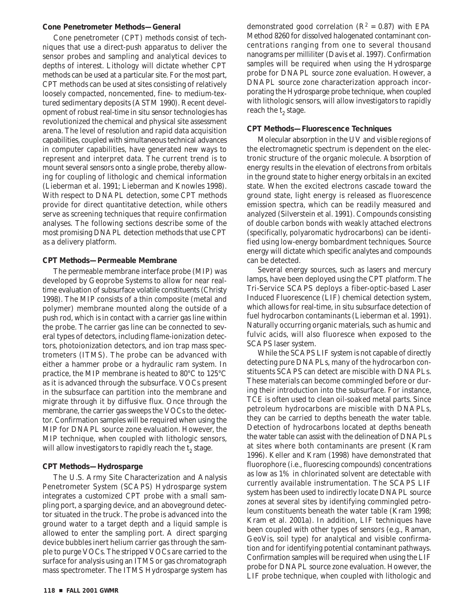#### **Cone Penetrometer Methods—General**

Cone penetrometer (CPT) methods consist of techniques that use a direct-push apparatus to deliver the sensor probes and sampling and analytical devices to depths of interest. Lithology will dictate whether CPT methods can be used at a particular site. For the most part, CPT methods can be used at sites consisting of relatively loosely compacted, noncemented, fine- to medium-textured sedimentary deposits (ASTM 1990). Recent development of robust real-time in situ sensor technologies has revolutionized the chemical and physical site assessment arena. The level of resolution and rapid data acquisition capabilities, coupled with simultaneous technical advances in computer capabilities, have generated new ways to represent and interpret data. The current trend is to mount several sensors onto a single probe, thereby allowing for coupling of lithologic and chemical information (Lieberman et al. 1991; Lieberman and Knowles 1998). With respect to DNAPL detection, some CPT methods provide for direct quantitative detection, while others serve as screening techniques that require confirmation analyses. The following sections describe some of the most promising DNAPL detection methods that use CPT as a delivery platform.

#### **CPT Methods—Permeable Membrane**

The permeable membrane interface probe (MIP) was developed by Geoprobe Systems to allow for near realtime evaluation of subsurface volatile constituents (Christy 1998). The MIP consists of a thin composite (metal and polymer) membrane mounted along the outside of a push rod, which is in contact with a carrier gas line within the probe. The carrier gas line can be connected to several types of detectors, including flame-ionization detectors, photoionization detectors, and ion trap mass spectrometers (ITMS). The probe can be advanced with either a hammer probe or a hydraulic ram system. In practice, the MIP membrane is heated to 80°C to 125°C as it is advanced through the subsurface. VOCs present in the subsurface can partition into the membrane and migrate through it by diffusive flux. Once through the membrane, the carrier gas sweeps the VOCs to the detector. Confirmation samples will be required when using the MIP for DNAPL source zone evaluation. However, the MIP technique, when coupled with lithologic sensors, will allow investigators to rapidly reach the  $t<sub>2</sub>$  stage.

#### **CPT Methods—Hydrosparge**

The U.S. Army Site Characterization and Analysis Penetrometer System (SCAPS) Hydrosparge system integrates a customized CPT probe with a small sampling port, a sparging device, and an aboveground detector situated in the truck. The probe is advanced into the ground water to a target depth and a liquid sample is allowed to enter the sampling port. A direct sparging device bubbles inert helium carrier gas through the sample to purge VOCs. The stripped VOCs are carried to the surface for analysis using an ITMS or gas chromatograph mass spectrometer. The ITMS Hydrosparge system has

demonstrated good correlation ( $\mathbb{R}^2$  = 0.87) with EPA Method 8260 for dissolved halogenated contaminant concentrations ranging from one to several thousand nanograms per milliliter (Davis et al. 1997). Confirmation samples will be required when using the Hydrosparge probe for DNAPL source zone evaluation. However, a DNAPL source zone characterization approach incorporating the Hydrosparge probe technique, when coupled with lithologic sensors, will allow investigators to rapidly reach the  $t_2$  stage.

#### **CPT Methods—Fluorescence Techniques**

Molecular absorption in the UV and visible regions of the electromagnetic spectrum is dependent on the electronic structure of the organic molecule. Absorption of energy results in the elevation of electrons from orbitals in the ground state to higher energy orbitals in an excited state. When the excited electrons cascade toward the ground state, light energy is released as fluorescence emission spectra, which can be readily measured and analyzed (Silverstein et al. 1991). Compounds consisting of double carbon bonds with weakly attached electrons (specifically, polyaromatic hydrocarbons) can be identified using low-energy bombardment techniques. Source energy will dictate which specific analytes and compounds can be detected.

Several energy sources, such as lasers and mercury lamps, have been deployed using the CPT platform. The Tri-Service SCAPS deploys a fiber-optic-based Laser Induced Fluorescence (LIF) chemical detection system, which allows for real-time, in situ subsurface detection of fuel hydrocarbon contaminants (Lieberman et al. 1991). Naturally occurring organic materials, such as humic and fulvic acids, will also fluoresce when exposed to the SCAPS laser system.

While the SCAPS LIF system is not capable of directly detecting pure DNAPLs, many of the hydrocarbon constituents SCAPS can detect are miscible with DNAPLs. These materials can become commingled before or during their introduction into the subsurface. For instance, TCE is often used to clean oil-soaked metal parts. Since petroleum hydrocarbons are miscible with DNAPLs, they can be carried to depths beneath the water table. Detection of hydrocarbons located at depths beneath the water table can assist with the delineation of DNAPLs at sites where both contaminants are present (Kram 1996). Keller and Kram (1998) have demonstrated that fluorophore (i.e., fluorescing compounds) concentrations as low as 1% in chlorinated solvent are detectable with currently available instrumentation. The SCAPS LIF system has been used to indirectly locate DNAPL source zones at several sites by identifying commingled petroleum constituents beneath the water table (Kram 1998; Kram et al. 2001a). In addition, LIF techniques have been coupled with other types of sensors (e.g., Raman, GeoVis, soil type) for analytical and visible confirmation and for identifying potential contaminant pathways. Confirmation samples will be required when using the LIF probe for DNAPL source zone evaluation. However, the LIF probe technique, when coupled with lithologic and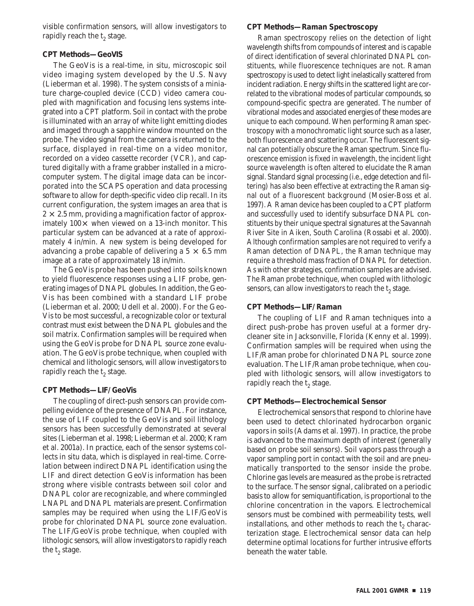visible confirmation sensors, will allow investigators to rapidly reach the  $t<sub>2</sub>$  stage.

#### **CPT Methods—GeoVIS**

The GeoVis is a real-time, in situ, microscopic soil video imaging system developed by the U.S. Navy (Lieberman et al. 1998). The system consists of a miniature charge-coupled device (CCD) video camera coupled with magnification and focusing lens systems integrated into a CPT platform. Soil in contact with the probe is illuminated with an array of white light emitting diodes and imaged through a sapphire window mounted on the probe. The video signal from the camera is returned to the surface, displayed in real-time on a video monitor, recorded on a video cassette recorder (VCR), and captured digitally with a frame grabber installed in a microcomputer system. The digital image data can be incorporated into the SCAPS operation and data processing software to allow for depth-specific video clip recall. In its current configuration, the system images an area that is  $2 \times 2.5$  mm, providing a magnification factor of approximately  $100 \times$  when viewed on a 13-inch monitor. This particular system can be advanced at a rate of approximately 4 in/min. A new system is being developed for advancing a probe capable of delivering a  $5 \times 6.5$  mm image at a rate of approximately 18 in/min.

The GeoVis probe has been pushed into soils known to yield fluorescence responses using a LIF probe, generating images of DNAPL globules. In addition, the Geo-Vis has been combined with a standard LIF probe (Lieberman et al. 2000; Udell et al. 2000). For the Geo-Vis to be most successful, a recognizable color or textural contrast must exist between the DNAPL globules and the soil matrix. Confirmation samples will be required when using the GeoVis probe for DNAPL source zone evaluation. The GeoVis probe technique, when coupled with chemical and lithologic sensors, will allow investigators to rapidly reach the  $t_2$  stage.

#### **CPT Methods—LIF/GeoVis**

The coupling of direct-push sensors can provide compelling evidence of the presence of DNAPL. For instance, the use of LIF coupled to the GeoVis and soil lithology sensors has been successfully demonstrated at several sites (Lieberman et al. 1998; Lieberman et al. 2000; Kram et al. 2001a). In practice, each of the sensor systems collects in situ data, which is displayed in real-time. Correlation between indirect DNAPL identification using the LIF and direct detection GeoVis information has been strong where visible contrasts between soil color and DNAPL color are recognizable, and where commingled LNAPL and DNAPL materials are present. Confirmation samples may be required when using the LIF/GeoVis probe for chlorinated DNAPL source zone evaluation. The LIF/GeoVis probe technique, when coupled with lithologic sensors, will allow investigators to rapidly reach the  $t_2$  stage.

#### **CPT Methods—Raman Spectroscopy**

Raman spectroscopy relies on the detection of light wavelength shifts from compounds of interest and is capable of direct identification of several chlorinated DNAPL constituents, while fluorescence techniques are not. Raman spectroscopy is used to detect light inelastically scattered from incident radiation. Energy shifts in the scattered light are correlated to the vibrational modes of particular compounds, so compound-specific spectra are generated. The number of vibrational modes and associated energies of these modes are unique to each compound. When performing Raman spectroscopy with a monochromatic light source such as a laser, both fluorescence and scattering occur. The fluorescent signal can potentially obscure the Raman spectrum. Since fluorescence emission is fixed in wavelength, the incident light source wavelength is often altered to elucidate the Raman signal. Standard signal processing (i.e., edge detection and filtering) has also been effective at extracting the Raman signal out of a fluorescent background (Mosier-Boss et al. 1997). A Raman device has been coupled to a CPT platform and successfully used to identify subsurface DNAPL constituents by their unique spectral signatures at the Savannah River Site in Aiken, South Carolina (Rossabi et al. 2000). Although confirmation samples are not required to verify a Raman detection of DNAPL, the Raman technique may require a threshold mass fraction of DNAPL for detection. As with other strategies, confirmation samples are advised. The Raman probe technique, when coupled with lithologic sensors, can allow investigators to reach the  $t<sub>2</sub>$  stage.

#### **CPT Methods—LIF/Raman**

The coupling of LIF and Raman techniques into a direct push-probe has proven useful at a former drycleaner site in Jacksonville, Florida (Kenny et al. 1999). Confirmation samples will be required when using the LIF/Raman probe for chlorinated DNAPL source zone evaluation. The LIF/Raman probe technique, when coupled with lithologic sensors, will allow investigators to rapidly reach the t<sub>2</sub> stage.

#### **CPT Methods—Electrochemical Sensor**

Electrochemical sensors that respond to chlorine have been used to detect chlorinated hydrocarbon organic vapors in soils (Adams et al. 1997). In practice, the probe is advanced to the maximum depth of interest (generally based on probe soil sensors). Soil vapors pass through a vapor sampling port in contact with the soil and are pneumatically transported to the sensor inside the probe. Chlorine gas levels are measured as the probe is retracted to the surface. The sensor signal, calibrated on a periodic basis to allow for semiquantification, is proportional to the chlorine concentration in the vapors. Electrochemical sensors must be combined with permeability tests, well installations, and other methods to reach the  $t_2$  characterization stage. Electrochemical sensor data can help determine optimal locations for further intrusive efforts beneath the water table.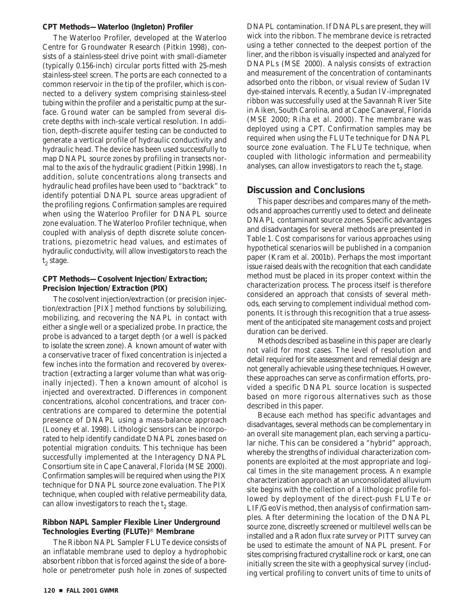#### **CPT Methods—Waterloo (Ingleton) Profiler**

The Waterloo Profiler, developed at the Waterloo Centre for Groundwater Research (Pitkin 1998), consists of a stainless-steel drive point with small-diameter (typically 0.156-inch) circular ports fitted with 25-mesh stainless-steel screen. The ports are each connected to a common reservoir in the tip of the profiler, which is connected to a delivery system comprising stainless-steel tubing within the profiler and a peristaltic pump at the surface. Ground water can be sampled from several discrete depths with inch-scale vertical resolution. In addition, depth-discrete aquifer testing can be conducted to generate a vertical profile of hydraulic conductivity and hydraulic head. The device has been used successfully to map DNAPL source zones by profiling in transects normal to the axis of the hydraulic gradient (Pitkin 1998). In addition, solute concentrations along transects and hydraulic head profiles have been used to "backtrack" to identify potential DNAPL source areas upgradient of the profiling regions. Confirmation samples are required when using the Waterloo Profiler for DNAPL source zone evaluation. The Waterloo Profiler technique, when coupled with analysis of depth discrete solute concentrations, piezometric head values, and estimates of hydraulic conductivity, will allow investigators to reach the  $t_2$  stage.

### **CPT Methods—Cosolvent Injection/Extraction; Precision Injection/Extraction (PIX)**

The cosolvent injection/extraction (or precision injection/extraction [PIX] method functions by solubilizing, mobilizing, and recovering the NAPL in contact with either a single well or a specialized probe. In practice, the probe is advanced to a target depth (or a well is packed to isolate the screen zone). A known amount of water with a conservative tracer of fixed concentration is injected a few inches into the formation and recovered by overextraction (extracting a larger volume than what was originally injected). Then a known amount of alcohol is injected and overextracted. Differences in component concentrations, alcohol concentrations, and tracer concentrations are compared to determine the potential presence of DNAPL using a mass-balance approach (Looney et al. 1998). Lithologic sensors can be incorporated to help identify candidate DNAPL zones based on potential migration conduits. This technique has been successfully implemented at the Interagency DNAPL Consortium site in Cape Canaveral, Florida (MSE 2000). Confirmation samples will be required when using the PIX technique for DNAPL source zone evaluation. The PIX technique, when coupled with relative permeability data, can allow investigators to reach the  $t<sub>2</sub>$  stage.

#### **Ribbon NAPL Sampler Flexible Liner Underground Technologies Everting (FLUTe)**� **Membrane**

The Ribbon NAPL Sampler FLUTe device consists of an inflatable membrane used to deploy a hydrophobic absorbent ribbon that is forced against the side of a borehole or penetrometer push hole in zones of suspected

DNAPL contamination. If DNAPLs are present, they will wick into the ribbon. The membrane device is retracted using a tether connected to the deepest portion of the liner, and the ribbon is visually inspected and analyzed for DNAPLs (MSE 2000). Analysis consists of extraction and measurement of the concentration of contaminants adsorbed onto the ribbon, or visual review of Sudan IV dye-stained intervals. Recently, a Sudan IV-impregnated ribbon was successfully used at the Savannah River Site in Aiken, South Carolina, and at Cape Canaveral, Florida (MSE 2000; Riha et al. 2000). The membrane was deployed using a CPT. Confirmation samples may be required when using the FLUTe technique for DNAPL source zone evaluation. The FLUTe technique, when coupled with lithologic information and permeability analyses, can allow investigators to reach the  $t<sub>2</sub>$  stage.

# **Discussion and Conclusions**

This paper describes and compares many of the methods and approaches currently used to detect and delineate DNAPL contaminant source zones. Specific advantages and disadvantages for several methods are presented in Table 1. Cost comparisons for various approaches using hypothetical scenarios will be published in a companion paper (Kram et al. 2001b). Perhaps the most important issue raised deals with the recognition that each candidate method must be placed in its proper context within the characterization process. The process itself is therefore considered an approach that consists of several methods, each serving to complement individual method components. It is through this recognition that a true assessment of the anticipated site management costs and project duration can be derived.

Methods described as baseline in this paper are clearly not valid for most cases. The level of resolution and detail required for site assessment and remedial design are not generally achievable using these techniques. However, these approaches can serve as confirmation efforts, provided a specific DNAPL source location is suspected based on more rigorous alternatives such as those described in this paper.

Because each method has specific advantages and disadvantages, several methods can be complementary in an overall site management plan, each serving a particular niche. This can be considered a "hybrid" approach, whereby the strengths of individual characterization components are exploited at the most appropriate and logical times in the site management process. An example characterization approach at an unconsolidated alluvium site begins with the collection of a lithologic profile followed by deployment of the direct-push FLUTe or LIF/GeoVis method, then analysis of confirmation samples. After determining the location of the DNAPL source zone, discreetly screened or multilevel wells can be installed and a Radon flux rate survey or PITT survey can be used to estimate the amount of NAPL present. For sites comprising fractured crystalline rock or karst, one can initially screen the site with a geophysical survey (including vertical profiling to convert units of time to units of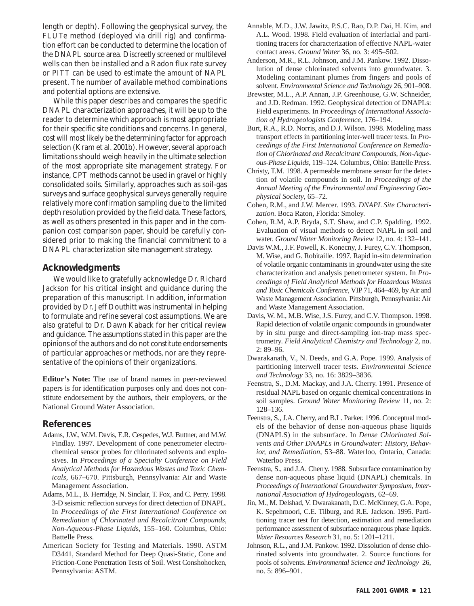length or depth). Following the geophysical survey, the FLUTe method (deployed via drill rig) and confirmation effort can be conducted to determine the location of the DNAPL source area. Discreetly screened or multilevel wells can then be installed and a Radon flux rate survey or PITT can be used to estimate the amount of NAPL present. The number of available method combinations and potential options are extensive.

While this paper describes and compares the specific DNAPL characterization approaches, it will be up to the reader to determine which approach is most appropriate for their specific site conditions and concerns. In general, cost will most likely be the determining factor for approach selection (Kram et al. 2001b). However, several approach limitations should weigh heavily in the ultimate selection of the most appropriate site management strategy. For instance, CPT methods cannot be used in gravel or highly consolidated soils. Similarly, approaches such as soil-gas surveys and surface geophysical surveys generally require relatively more confirmation sampling due to the limited depth resolution provided by the field data. These factors, as well as others presented in this paper and in the companion cost comparison paper, should be carefully considered prior to making the financial commitment to a DNAPL characterization site management strategy.

### **Acknowledgments**

We would like to gratefully acknowledge Dr. Richard Jackson for his critical insight and guidance during the preparation of this manuscript. In addition, information provided by Dr. Jeff Douthitt was instrumental in helping to formulate and refine several cost assumptions. We are also grateful to Dr. Dawn Kaback for her critical review and guidance. The assumptions stated in this paper are the opinions of the authors and do not constitute endorsements of particular approaches or methods, nor are they representative of the opinions of their organizations.

**Editor's Note:** The use of brand names in peer-reviewed papers is for identification purposes only and does not constitute endorsement by the authors, their employers, or the National Ground Water Association.

#### **References**

- Adams, J.W., W.M. Davis, E.R. Cespedes, W.J. Buttner, and M.W. Findlay. 1997. Development of cone penetrometer electrochemical sensor probes for chlorinated solvents and explosives. In *Proceedings of a Specialty Conference on Field Analytical Methods for Hazardous Wastes and Toxic Chemicals*, 667–670. Pittsburgh, Pennsylvania: Air and Waste Management Association.
- Adams, M.L., B. Herridge, N. Sinclair, T. Fox, and C. Perry. 1998. 3-D seismic reflection surveys for direct detection of DNAPL. In *Proceedings of the First International Conference on Remediation of Chlorinated and Recalcitrant Compounds, Non-Aqueous-Phase Liquid*s, 155–160. Columbus, Ohio: Battelle Press.
- American Society for Testing and Materials. 1990. ASTM D3441, Standard Method for Deep Quasi-Static, Cone and Friction-Cone Penetration Tests of Soil. West Conshohocken, Pennsylvania: ASTM.
- Annable, M.D., J.W. Jawitz, P.S.C. Rao, D.P. Dai, H. Kim, and A.L. Wood. 1998. Field evaluation of interfacial and partitioning tracers for characterization of effective NAPL-water contact areas. *Ground Water* 36, no. 3: 495–502.
- Anderson, M.R., R.L. Johnson, and J.M. Pankow. 1992. Dissolution of dense chlorinated solvents into groundwater. 3. Modeling contaminant plumes from fingers and pools of solvent. *Environmental Science and Technology* 26, 901–908.
- Brewster, M.L., A.P. Annan, J.P. Greenhouse, G.W. Schneider, and J.D. Redman. 1992. Geophysical detection of DNAPLs: Field experiments. In *Proceedings of International Association of Hydrogeologists Conference*, 176–194.
- Burt, R.A., R.D. Norris, and D.J. Wilson. 1998. Modeling mass transport effects in partitioning inter-well tracer tests. In *Proceedings of the First International Conference on Remediation of Chlorinated and Recalcitrant Compounds, Non-Aqueous-Phase Liquids*, 119–124. Columbus, Ohio: Battelle Press.
- Christy, T.M. 1998. A permeable membrane sensor for the detection of volatile compounds in soil. In *Proceedings of the Annual Meeting of the Environmental and Engineering Geophysical Society*, 65–72.
- Cohen, R.M., and J.W. Mercer. 1993. *DNAPL Site Characterization*. Boca Raton, Florida: Smoley.
- Cohen, R.M, A.P. Bryda, S.T. Shaw, and C.P. Spalding. 1992. Evaluation of visual methods to detect NAPL in soil and water. *Ground Water Monitoring Review* 12, no. 4: 132–141.
- Davis W.M., J.F. Powell, K. Konecny, J. Furey, C.V. Thompson, M. Wise, and G. Robitaille. 1997. Rapid in-situ determination of volatile organic contaminants in groundwater using the site characterization and analysis penetrometer system. In *Proceedings of Field Analytical Methods for Hazardous Wastes and Toxic Chemicals Conference*, VIP 71, 464–469, by Air and Waste Management Association. Pittsburgh, Pennsylvania: Air and Waste Management Association.
- Davis, W. M., M.B. Wise, J.S. Furey, and C.V. Thompson. 1998. Rapid detection of volatile organic compounds in groundwater by in situ purge and direct-sampling ion-trap mass spectrometry. *Field Analytical Chemistry and Technology* 2, no. 2: 89–96.
- Dwarakanath, V., N. Deeds, and G.A. Pope. 1999. Analysis of partitioning interwell tracer tests. *Environmental Science and Technology* 33, no. 16: 3829–3836.
- Feenstra, S., D.M. Mackay, and J.A. Cherry. 1991. Presence of residual NAPL based on organic chemical concentrations in soil samples. *Ground Water Monitoring Review* 11, no. 2: 128–136.
- Feenstra, S., J.A. Cherry, and B.L. Parker. 1996. Conceptual models of the behavior of dense non-aqueous phase liquids (DNAPLS) in the subsurface. In *Dense Chlorinated Solvents and Other DNAPLs in Groundwater: History, Behavior, and Remediation*, 53–88. Waterloo, Ontario, Canada: Waterloo Press.
- Feenstra, S., and J.A. Cherry. 1988. Subsurface contamination by dense non-aqueous phase liquid (DNAPL) chemicals. In *Proceedings of International Groundwater Symposium, International Association of Hydrogeologists,* 62–69.
- Jin, M., M. Delshad, V. Dwarakanath, D.C. McKinney, G.A. Pope, K. Sepehrnoori, C.E. Tilburg, and R.E. Jackson. 1995. Partitioning tracer test for detection, estimation and remediation performance assessment of subsurface nonaqueous phase liquids. *Water Resources Research* 31, no. 5: 1201–1211.
- Johnson, R.L., and J.M. Pankow. 1992. Dissolution of dense chlorinated solvents into groundwater. 2. Source functions for pools of solvents. *Environmental Science and Technology* 26, no. 5: 896–901.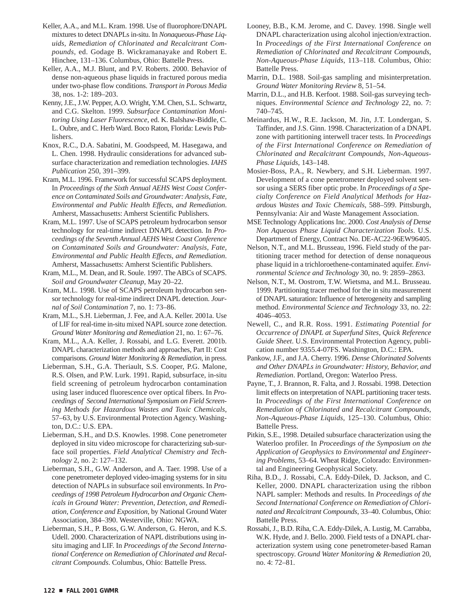- Keller, A.A., and M.L. Kram. 1998. Use of fluorophore/DNAPL mixtures to detect DNAPLs in-situ. In *Nonaqueous-Phase Liquids, Remediation of Chlorinated and Recalcitrant Compounds*, ed. Godage B. Wickramanayake and Robert E. Hinchee, 131–136. Columbus, Ohio: Battelle Press.
- Keller, A.A., M.J. Blunt, and P.V. Roberts. 2000. Behavior of dense non-aqueous phase liquids in fractured porous media under two-phase flow conditions. *Transport in Porous Media*  38, nos. 1-2: 189–203.
- Kenny, J.E., J.W. Pepper, A.O. Wright, Y.M. Chen, S.L. Schwartz, and C.G. Skelton. 1999. *Subsurface Contamination Monitoring Using Laser Fluorescence*, ed. K. Balshaw-Biddle, C. L. Oubre, and C. Herb Ward. Boco Raton, Florida: Lewis Publishers.
- Knox, R.C., D.A. Sabatini, M. Goodspeed, M. Hasegawa, and L. Chen. 1998. Hydraulic considerations for advanced subsurface characterization and remediation technologies. *IAHS Publication* 250, 391–399.
- Kram, M.L. 1996. Framework for successful SCAPS deployment. In *Proceedings of the Sixth Annual AEHS West Coast Conference on Contaminated Soils and Groundwater: Analysis, Fate, Environmental and Public Health Effects, and Remediation*. Amherst, Massachusetts: Amherst Scientific Publishers.
- Kram, M.L. 1997. Use of SCAPS petroleum hydrocarbon sensor technology for real-time indirect DNAPL detection. In *Proceedings of the Seventh Annual AEHS West Coast Conference on Contaminated Soils and Groundwater: Analysis, Fate, Environmental and Public Health Effects, and Remediation*. Amherst, Massachusetts: Amherst Scientific Publishers.
- Kram, M.L., M. Dean, and R. Soule. 1997. The ABCs of SCAPS. *Soil and Groundwater Cleanup*, May 20–22.
- Kram, M.L. 1998. Use of SCAPS petroleum hydrocarbon sensor technology for real-time indirect DNAPL detection. *Journal of Soil Contamination* 7, no. 1: 73–86.
- Kram, M.L., S.H. Lieberman, J. Fee, and A.A. Keller. 2001a. Use of LIF for real-time in-situ mixed NAPL source zone detection. *Ground Water Monitoring and Remediation* 21, no. 1: 67–76.
- Kram, M.L., A.A. Keller, J. Rossabi, and L.G. Everett. 2001b. DNAPL characterization methods and approaches, Part II: Cost comparisons. *Ground Water Monitoring & Remediation*, in press.
- Lieberman, S.H., G.A. Theriault, S.S. Cooper, P.G. Malone, R.S. Olsen, and P.W. Lurk. 1991. Rapid, subsurface, in-situ field screening of petroleum hydrocarbon contamination using laser induced fluorescence over optical fibers. In *Proceedings of Second International Symposium on Field Screening Methods for Hazardous Wastes and Toxic Chemicals*, 57–63, by U.S. Environmental Protection Agency. Washington, D.C.: U.S. EPA.
- Lieberman, S.H., and D.S. Knowles. 1998. Cone penetrometer deployed in situ video microscope for characterizing sub-surface soil properties. *Field Analytical Chemistry and Technology* 2, no. 2: 127–132.
- Lieberman, S.H., G.W. Anderson, and A. Taer. 1998. Use of a cone penetrometer deployed video-imaging systems for in situ detection of NAPLs in subsurface soil environments. In *Proceedings of 1998 Petroleum Hydrocarbon and Organic Chemicals in Ground Water: Prevention, Detection, and Remediation, Conference and Exposition*, by National Ground Water Association, 384–390. Westerville, Ohio: NGWA.
- Lieberman, S.H., P. Boss, G.W. Anderson, G. Heron, and K.S. Udell. 2000. Characterization of NAPL distributions using insitu imaging and LIF. In *Proceedings of the Second International Conference on Remediation of Chlorinated and Recalcitrant Compounds*. Columbus, Ohio: Battelle Press.
- Looney, B.B., K.M. Jerome, and C. Davey. 1998. Single well DNAPL characterization using alcohol injection/extraction. In *Proceedings of the First International Conference on Remediation of Chlorinated and Recalcitrant Compounds, Non-Aqueous-Phase Liquids*, 113–118. Columbus, Ohio: Battelle Press.
- Marrin, D.L. 1988. Soil-gas sampling and misinterpretation. *Ground Water Monitoring Review* 8, 51–54.
- Marrin, D.L., and H.B. Kerfoot. 1988. Soil-gas surveying techniques. *Environmental Science and Technology* 22, no. 7: 740–745.
- Meinardus, H.W., R.E. Jackson, M. Jin, J.T. Londergan, S. Taffinder, and J.S. Ginn. 1998. Characterization of a DNAPL zone with partitioning interwell tracer tests. In *Proceedings of the First International Conference on Remediation of Chlorinated and Recalcitrant Compounds, Non-Aqueous-Phase Liquids*, 143–148.
- Mosier-Boss, P.A., R. Newbery, and S.H. Lieberman. 1997. Development of a cone penetrometer deployed solvent sensor using a SERS fiber optic probe. In *Proceedings of a Specialty Conference on Field Analytical Methods for Hazardous Wastes and Toxic Chemicals*, 588–599. Pittsburgh, Pennsylvania: Air and Waste Management Association.
- MSE Technology Applications Inc. 2000. *Cost Analysis of Dense Non Aqueous Phase Liquid Characterization Tools*. U.S. Department of Energy, Contract No. DE-AC22-96EW96405.
- Nelson, N.T., and M.L. Brusseau, 1996. Field study of the partitioning tracer method for detection of dense nonaqueous phase liquid in a trichloroethene-contaminated aquifer. *Environmental Science and Technology* 30, no. 9: 2859–2863.
- Nelson, N.T., M. Oostrom, T.W. Wietsma, and M.L. Brusseau. 1999. Partitioning tracer method for the in situ measurement of DNAPL saturation: Influence of heterogeneity and sampling method. *Environmental Science and Technology* 33, no. 22: 4046–4053.
- Newell, C., and R.R. Ross. 1991. *Estimating Potential for Occurrence of DNAPL at Superfund Sites, Quick Reference Guide Sheet*. U.S. Environmental Protection Agency, publication number 9355.4-07FS. Washington, D.C.: EPA.
- Pankow, J.F., and J.A. Cherry. 1996. *Dense Chlorinated Solvents and Other DNAPLs in Groundwater: History, Behavior, and Remediation*. Portland, Oregon: Waterloo Press.
- Payne, T., J. Brannon, R. Falta, and J. Rossabi. 1998. Detection limit effects on interpretation of NAPL partitioning tracer tests. In *Proceedings of the First International Conference on Remediation of Chlorinated and Recalcitrant Compounds, Non-Aqueous-Phase Liquids*, 125–130. Columbus, Ohio: Battelle Press.
- Pitkin, S.E., 1998. Detailed subsurface characterization using the Waterloo profiler. In *Proceedings of the Symposium on the Application of Geophysics to Environmental and Engineering Problems,* 53–64. Wheat Ridge, Colorado: Environmental and Engineering Geophysical Society.
- Riha, B.D., J. Rossabi, C.A. Eddy-Dilek, D. Jackson, and C. Keller, 2000. DNAPL characterization using the ribbon NAPL sampler: Methods and results. In *Proceedings of the Second International Conference on Remediation of Chlorinated and Recalcitrant Compounds*, 33–40. Columbus, Ohio: Battelle Press.
- Rossabi, J., B.D. Riha, C.A. Eddy-Dilek, A. Lustig, M. Carrabba, W.K. Hyde, and J. Bello. 2000. Field tests of a DNAPL characterization system using cone penetrometer-based Raman spectroscopy. *Ground Water Monitoring & Remediation* 20, no. 4: 72–81.